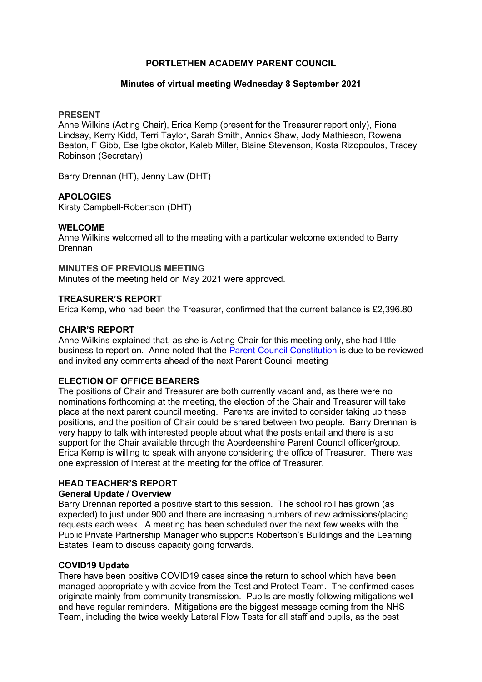### PORTLETHEN ACADEMY PARENT COUNCIL

#### Minutes of virtual meeting Wednesday 8 September 2021

#### PRESENT

Anne Wilkins (Acting Chair), Erica Kemp (present for the Treasurer report only), Fiona Lindsay, Kerry Kidd, Terri Taylor, Sarah Smith, Annick Shaw, Jody Mathieson, Rowena Beaton, F Gibb, Ese Igbelokotor, Kaleb Miller, Blaine Stevenson, Kosta Rizopoulos, Tracey Robinson (Secretary)

Barry Drennan (HT), Jenny Law (DHT)

## APOLOGIES

Kirsty Campbell-Robertson (DHT)

## WELCOME

Anne Wilkins welcomed all to the meeting with a particular welcome extended to Barry Drennan

#### MINUTES OF PREVIOUS MEETING

Minutes of the meeting held on May 2021 were approved.

#### TREASURER'S REPORT

Erica Kemp, who had been the Treasurer, confirmed that the current balance is £2,396.80

#### CHAIR'S REPORT

Anne Wilkins explained that, as she is Acting Chair for this meeting only, she had little business to report on. Anne noted that the Parent Council Constitution is due to be reviewed and invited any comments ahead of the next Parent Council meeting

## ELECTION OF OFFICE BEARERS

The positions of Chair and Treasurer are both currently vacant and, as there were no nominations forthcoming at the meeting, the election of the Chair and Treasurer will take place at the next parent council meeting. Parents are invited to consider taking up these positions, and the position of Chair could be shared between two people. Barry Drennan is very happy to talk with interested people about what the posts entail and there is also support for the Chair available through the Aberdeenshire Parent Council officer/group. Erica Kemp is willing to speak with anyone considering the office of Treasurer. There was one expression of interest at the meeting for the office of Treasurer.

# HEAD TEACHER'S REPORT

## General Update / Overview

Barry Drennan reported a positive start to this session. The school roll has grown (as expected) to just under 900 and there are increasing numbers of new admissions/placing requests each week. A meeting has been scheduled over the next few weeks with the Public Private Partnership Manager who supports Robertson's Buildings and the Learning Estates Team to discuss capacity going forwards.

## COVID19 Update

There have been positive COVID19 cases since the return to school which have been managed appropriately with advice from the Test and Protect Team. The confirmed cases originate mainly from community transmission. Pupils are mostly following mitigations well and have regular reminders. Mitigations are the biggest message coming from the NHS Team, including the twice weekly Lateral Flow Tests for all staff and pupils, as the best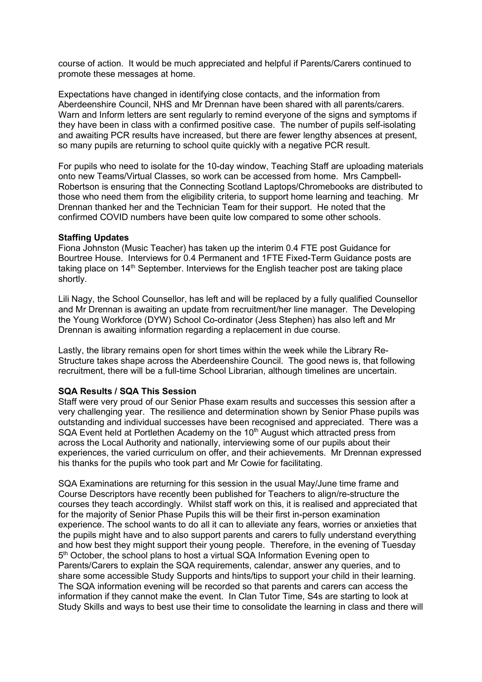course of action. It would be much appreciated and helpful if Parents/Carers continued to promote these messages at home.

Expectations have changed in identifying close contacts, and the information from Aberdeenshire Council, NHS and Mr Drennan have been shared with all parents/carers. Warn and Inform letters are sent regularly to remind everyone of the signs and symptoms if they have been in class with a confirmed positive case. The number of pupils self-isolating and awaiting PCR results have increased, but there are fewer lengthy absences at present, so many pupils are returning to school quite quickly with a negative PCR result.

For pupils who need to isolate for the 10-day window, Teaching Staff are uploading materials onto new Teams/Virtual Classes, so work can be accessed from home. Mrs Campbell-Robertson is ensuring that the Connecting Scotland Laptops/Chromebooks are distributed to those who need them from the eligibility criteria, to support home learning and teaching. Mr Drennan thanked her and the Technician Team for their support. He noted that the confirmed COVID numbers have been quite low compared to some other schools.

#### Staffing Updates

Fiona Johnston (Music Teacher) has taken up the interim 0.4 FTE post Guidance for Bourtree House. Interviews for 0.4 Permanent and 1FTE Fixed-Term Guidance posts are taking place on  $14<sup>th</sup>$  September. Interviews for the English teacher post are taking place shortly.

Lili Nagy, the School Counsellor, has left and will be replaced by a fully qualified Counsellor and Mr Drennan is awaiting an update from recruitment/her line manager. The Developing the Young Workforce (DYW) School Co-ordinator (Jess Stephen) has also left and Mr Drennan is awaiting information regarding a replacement in due course.

Lastly, the library remains open for short times within the week while the Library Re-Structure takes shape across the Aberdeenshire Council. The good news is, that following recruitment, there will be a full-time School Librarian, although timelines are uncertain.

## SQA Results / SQA This Session

Staff were very proud of our Senior Phase exam results and successes this session after a very challenging year. The resilience and determination shown by Senior Phase pupils was outstanding and individual successes have been recognised and appreciated. There was a SQA Event held at Portlethen Academy on the  $10<sup>th</sup>$  August which attracted press from across the Local Authority and nationally, interviewing some of our pupils about their experiences, the varied curriculum on offer, and their achievements. Mr Drennan expressed his thanks for the pupils who took part and Mr Cowie for facilitating.

SQA Examinations are returning for this session in the usual May/June time frame and Course Descriptors have recently been published for Teachers to align/re-structure the courses they teach accordingly. Whilst staff work on this, it is realised and appreciated that for the majority of Senior Phase Pupils this will be their first in-person examination experience. The school wants to do all it can to alleviate any fears, worries or anxieties that the pupils might have and to also support parents and carers to fully understand everything and how best they might support their young people. Therefore, in the evening of Tuesday 5<sup>th</sup> October, the school plans to host a virtual SQA Information Evening open to Parents/Carers to explain the SQA requirements, calendar, answer any queries, and to share some accessible Study Supports and hints/tips to support your child in their learning. The SQA information evening will be recorded so that parents and carers can access the information if they cannot make the event. In Clan Tutor Time, S4s are starting to look at Study Skills and ways to best use their time to consolidate the learning in class and there will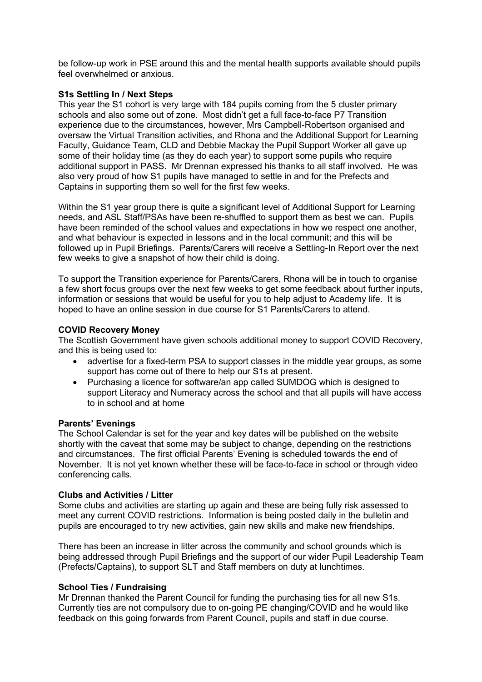be follow-up work in PSE around this and the mental health supports available should pupils feel overwhelmed or anxious.

#### S1s Settling In / Next Steps

This year the S1 cohort is very large with 184 pupils coming from the 5 cluster primary schools and also some out of zone. Most didn't get a full face-to-face P7 Transition experience due to the circumstances, however, Mrs Campbell-Robertson organised and oversaw the Virtual Transition activities, and Rhona and the Additional Support for Learning Faculty, Guidance Team, CLD and Debbie Mackay the Pupil Support Worker all gave up some of their holiday time (as they do each year) to support some pupils who require additional support in PASS. Mr Drennan expressed his thanks to all staff involved. He was also very proud of how S1 pupils have managed to settle in and for the Prefects and Captains in supporting them so well for the first few weeks.

Within the S1 year group there is quite a significant level of Additional Support for Learning needs, and ASL Staff/PSAs have been re-shuffled to support them as best we can. Pupils have been reminded of the school values and expectations in how we respect one another, and what behaviour is expected in lessons and in the local communit; and this will be followed up in Pupil Briefings. Parents/Carers will receive a Settling-In Report over the next few weeks to give a snapshot of how their child is doing.

To support the Transition experience for Parents/Carers, Rhona will be in touch to organise a few short focus groups over the next few weeks to get some feedback about further inputs, information or sessions that would be useful for you to help adjust to Academy life. It is hoped to have an online session in due course for S1 Parents/Carers to attend.

### COVID Recovery Money

The Scottish Government have given schools additional money to support COVID Recovery, and this is being used to:

- advertise for a fixed-term PSA to support classes in the middle year groups, as some support has come out of there to help our S1s at present.
- Purchasing a licence for software/an app called SUMDOG which is designed to support Literacy and Numeracy across the school and that all pupils will have access to in school and at home

#### Parents' Evenings

The School Calendar is set for the year and key dates will be published on the website shortly with the caveat that some may be subject to change, depending on the restrictions and circumstances. The first official Parents' Evening is scheduled towards the end of November. It is not yet known whether these will be face-to-face in school or through video conferencing calls.

## Clubs and Activities / Litter

Some clubs and activities are starting up again and these are being fully risk assessed to meet any current COVID restrictions. Information is being posted daily in the bulletin and pupils are encouraged to try new activities, gain new skills and make new friendships.

There has been an increase in litter across the community and school grounds which is being addressed through Pupil Briefings and the support of our wider Pupil Leadership Team (Prefects/Captains), to support SLT and Staff members on duty at lunchtimes.

## School Ties / Fundraising

Mr Drennan thanked the Parent Council for funding the purchasing ties for all new S1s. Currently ties are not compulsory due to on-going PE changing/COVID and he would like feedback on this going forwards from Parent Council, pupils and staff in due course.